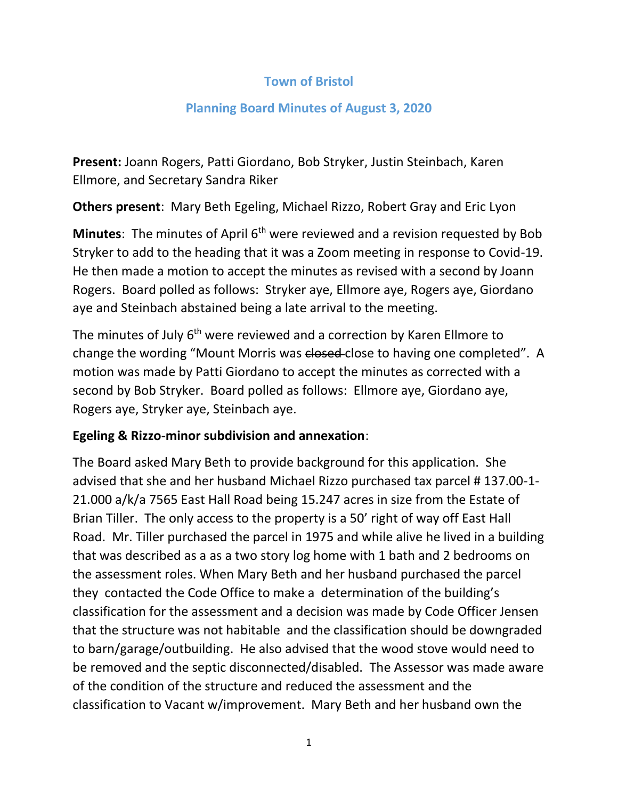## **Town of Bristol**

## **Planning Board Minutes of August 3, 2020**

**Present:** Joann Rogers, Patti Giordano, Bob Stryker, Justin Steinbach, Karen Ellmore, and Secretary Sandra Riker

**Others present**: Mary Beth Egeling, Michael Rizzo, Robert Gray and Eric Lyon

**Minutes**: The minutes of April 6<sup>th</sup> were reviewed and a revision requested by Bob Stryker to add to the heading that it was a Zoom meeting in response to Covid-19. He then made a motion to accept the minutes as revised with a second by Joann Rogers. Board polled as follows: Stryker aye, Ellmore aye, Rogers aye, Giordano aye and Steinbach abstained being a late arrival to the meeting.

The minutes of July 6<sup>th</sup> were reviewed and a correction by Karen Ellmore to change the wording "Mount Morris was closed-close to having one completed". A motion was made by Patti Giordano to accept the minutes as corrected with a second by Bob Stryker. Board polled as follows: Ellmore aye, Giordano aye, Rogers aye, Stryker aye, Steinbach aye.

## **Egeling & Rizzo-minor subdivision and annexation**:

The Board asked Mary Beth to provide background for this application. She advised that she and her husband Michael Rizzo purchased tax parcel # 137.00-1- 21.000 a/k/a 7565 East Hall Road being 15.247 acres in size from the Estate of Brian Tiller. The only access to the property is a 50' right of way off East Hall Road. Mr. Tiller purchased the parcel in 1975 and while alive he lived in a building that was described as a as a two story log home with 1 bath and 2 bedrooms on the assessment roles. When Mary Beth and her husband purchased the parcel they contacted the Code Office to make a determination of the building's classification for the assessment and a decision was made by Code Officer Jensen that the structure was not habitable and the classification should be downgraded to barn/garage/outbuilding. He also advised that the wood stove would need to be removed and the septic disconnected/disabled. The Assessor was made aware of the condition of the structure and reduced the assessment and the classification to Vacant w/improvement. Mary Beth and her husband own the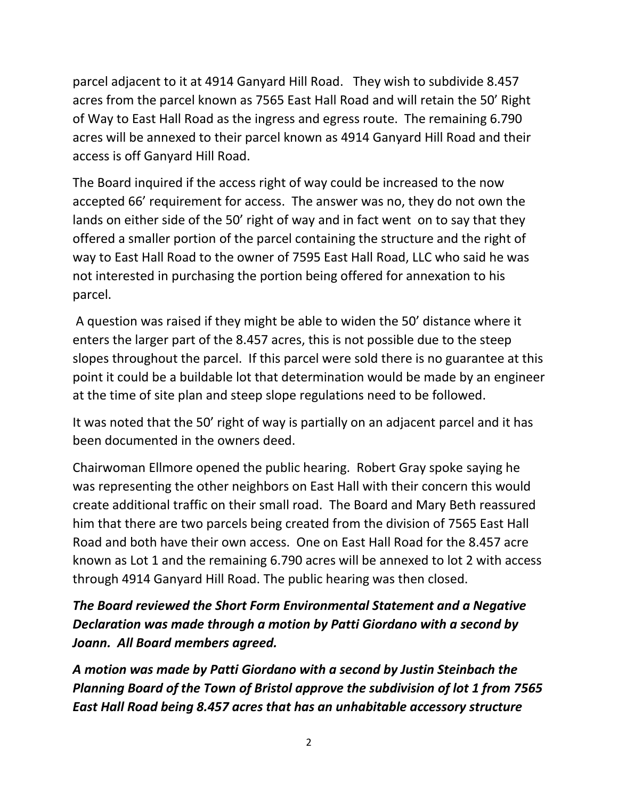parcel adjacent to it at 4914 Ganyard Hill Road. They wish to subdivide 8.457 acres from the parcel known as 7565 East Hall Road and will retain the 50' Right of Way to East Hall Road as the ingress and egress route. The remaining 6.790 acres will be annexed to their parcel known as 4914 Ganyard Hill Road and their access is off Ganyard Hill Road.

The Board inquired if the access right of way could be increased to the now accepted 66' requirement for access. The answer was no, they do not own the lands on either side of the 50' right of way and in fact went on to say that they offered a smaller portion of the parcel containing the structure and the right of way to East Hall Road to the owner of 7595 East Hall Road, LLC who said he was not interested in purchasing the portion being offered for annexation to his parcel.

A question was raised if they might be able to widen the 50' distance where it enters the larger part of the 8.457 acres, this is not possible due to the steep slopes throughout the parcel. If this parcel were sold there is no guarantee at this point it could be a buildable lot that determination would be made by an engineer at the time of site plan and steep slope regulations need to be followed.

It was noted that the 50' right of way is partially on an adjacent parcel and it has been documented in the owners deed.

Chairwoman Ellmore opened the public hearing. Robert Gray spoke saying he was representing the other neighbors on East Hall with their concern this would create additional traffic on their small road. The Board and Mary Beth reassured him that there are two parcels being created from the division of 7565 East Hall Road and both have their own access. One on East Hall Road for the 8.457 acre known as Lot 1 and the remaining 6.790 acres will be annexed to lot 2 with access through 4914 Ganyard Hill Road. The public hearing was then closed.

*The Board reviewed the Short Form Environmental Statement and a Negative Declaration was made through a motion by Patti Giordano with a second by Joann. All Board members agreed.*

*A motion was made by Patti Giordano with a second by Justin Steinbach the Planning Board of the Town of Bristol approve the subdivision of lot 1 from 7565 East Hall Road being 8.457 acres that has an unhabitable accessory structure*